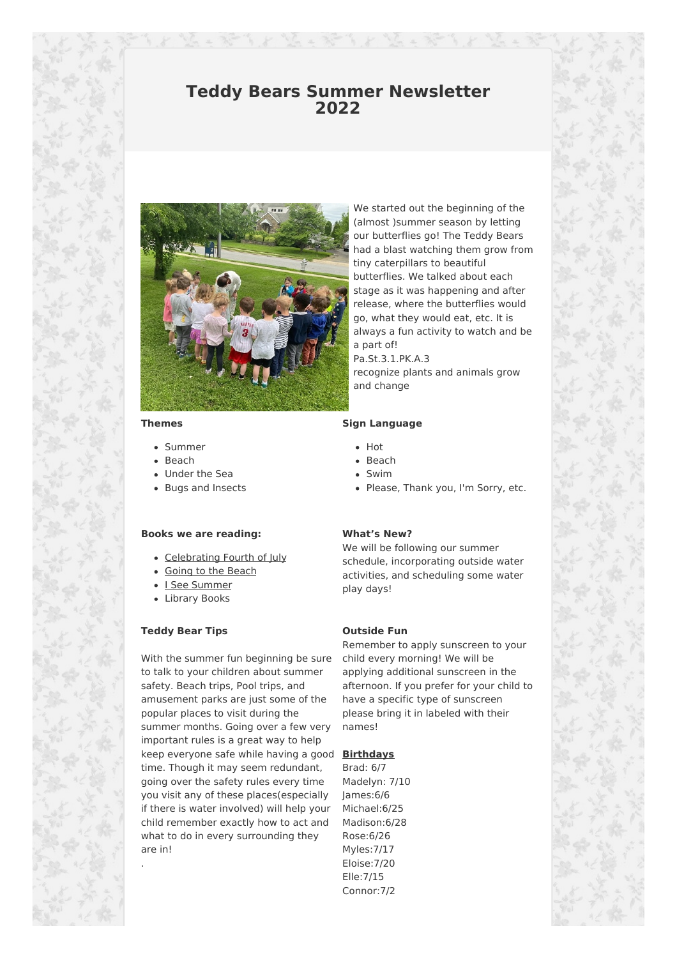## **Teddy Bears Summer Newsletter 2022**



**Themes**

- Summer
- Beach
- Under the Sea
- Bugs and Insects

#### **Books we are reading:**

- Celebrating Fourth of July
- Going to the Beach
- I See Summer
- Library Books

#### **Teddy Bear Tips**

.

With the summer fun beginning be sure to talk to your children about summer safety. Beach trips, Pool trips, and amusement parks are just some of the popular places to visit during the summer months. Going over a few very important rules is a great way to help keep everyone safe while having a good **Birthdays** time. Though it may seem redundant, going over the safety rules every time you visit any of these places(especially if there is water involved) will help your child remember exactly how to act and what to do in every surrounding they are in!

We started out the beginning of the (almost )summer season by letting our butterflies go! The Teddy Bears had a blast watching them grow from tiny caterpillars to beautiful butterflies. We talked about each stage as it was happening and after release, where the butterflies would go, what they would eat, etc. It is always a fun activity to watch and be a part of! Pa.St.3.1.PK.A.3

recognize plants and animals grow and change

#### **Sign Language**

- Hot
- Beach
- Swim
- Please, Thank you, I'm Sorry, etc.

#### **What's New?**

We will be following our summer schedule, incorporating outside water activities, and scheduling some water play days!

#### **Outside Fun**

Remember to apply sunscreen to your child every morning! We will be applying additional sunscreen in the afternoon. If you prefer for your child to have a specific type of sunscreen please bring it in labeled with their names!

Brad: 6/7 Madelyn: 7/10 James:6/6 Michael:6/25 Madison:6/28 Rose:6/26 Myles:7/17 Eloise:7/20 Elle:7/15 Connor:7/2